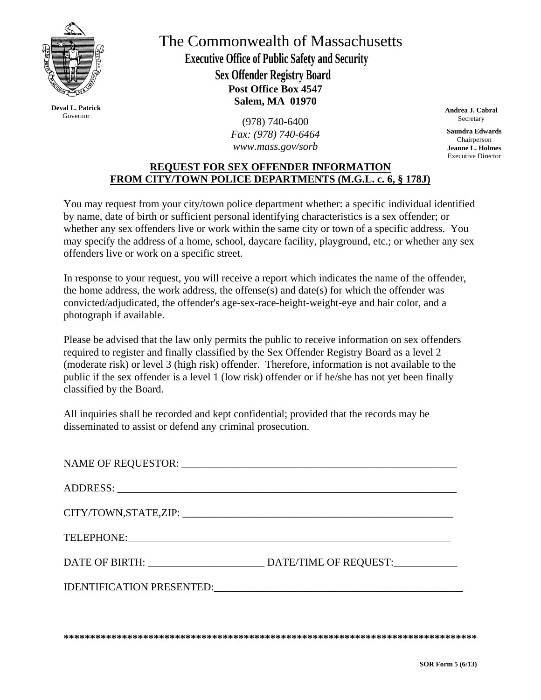

**Deval L. Patrick**  Governor

**Post Office Box 4547 Salem, MA 01970** The Commonwealth of Massachusetts  **Executive Office of Public Safety and Security Sex Offender Registry Board** 

> (978) 740-6400  *Fax: (978) 740-6464 www.mass.gov/sorb*

**Andrea J. Cabral Secretary** 

**Saundra Edwards**  Chairperson **Jeanne L. Holmes**  Executive Director

## **REQUEST FOR SEX OFFENDER INFORMATION FROM CITY/TOWN POLICE DEPARTMENTS (M.G.L. c. 6, § 178J)**

You may request from your city/town police department whether: a specific individual identified by name, date of birth or sufficient personal identifying characteristics is a sex offender; or whether any sex offenders live or work within the same city or town of a specific address. You may specify the address of a home, school, daycare facility, playground, etc.; or whether any sex offenders live or work on a specific street.

In response to your request, you will receive a report which indicates the name of the offender, the home address, the work address, the offense(s) and date(s) for which the offender was convicted/adjudicated, the offender's age-sex-race-height-weight-eye and hair color, and a photograph if available.

Please be advised that the law only permits the public to receive information on sex offenders required to register and finally classified by the Sex Offender Registry Board as a level 2 (moderate risk) or level 3 (high risk) offender. Therefore, information is not available to the public if the sex offender is a level 1 (low risk) offender or if he/she has not yet been finally classified by the Board.

All inquiries shall be recorded and kept confidential; provided that the records may be disseminated to assist or defend any criminal prosecution.

**\*\*\*\*\*\*\*\*\*\*\*\*\*\*\*\*\*\*\*\*\*\*\*\*\*\*\*\*\*\*\*\*\*\*\*\*\*\*\*\*\*\*\*\*\*\*\*\*\*\*\*\*\*\*\*\*\*\*\*\*\*\*\*\*\*\*\*\*\*\*\*\*\*\*\*\*\*\***